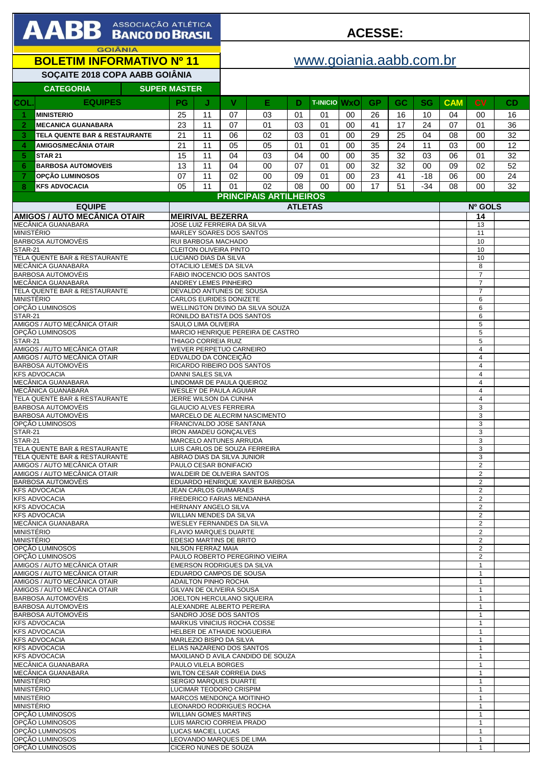| <b>AABB</b> ASSOCIAÇÃO ATLÉTICA                              |                         |                                                             |                                                                 | <b>ACESSE:</b>            |          |                |                     |          |           |           |                   |                              |                                  |          |
|--------------------------------------------------------------|-------------------------|-------------------------------------------------------------|-----------------------------------------------------------------|---------------------------|----------|----------------|---------------------|----------|-----------|-----------|-------------------|------------------------------|----------------------------------|----------|
| <b>GOIÂNIA</b><br><b>BOLETIM INFORMATIVO Nº 11</b>           |                         |                                                             |                                                                 | www.goiania.aabb.com.br   |          |                |                     |          |           |           |                   |                              |                                  |          |
| SOÇAITE 2018 COPA AABB GOIÂNIA                               |                         |                                                             |                                                                 |                           |          |                |                     |          |           |           |                   |                              |                                  |          |
| <b>CATEGORIA</b><br><b>SUPER MASTER</b>                      |                         |                                                             |                                                                 |                           |          |                |                     |          |           |           |                   |                              |                                  |          |
| <b>EQUIPES</b><br><b>COL</b>                                 |                         | <b>PG</b>                                                   | J                                                               | V                         | Е        | D              | <b>T-INICIO WXO</b> |          | <b>GP</b> | <b>GC</b> | <b>SG</b>         | <b>CAM</b>                   | CV                               | CD       |
| <b>MINISTERIO</b>                                            |                         | 25                                                          | 11                                                              | 07                        | 03       | 01             | 01                  | 00       | 26        | 16        | 10                | 04                           | 00                               | 16       |
| $\overline{2}$<br><b>MECANICA GUANABARA</b>                  |                         | 23                                                          | 11                                                              | 07                        | 01       | 03             | 01                  | 00       | 41        | 17        | 24                | 07                           | 01                               | 36       |
| 21<br>3<br>TELA QUENTE BAR & RESTAURANTE                     |                         |                                                             | 11                                                              | 06                        | 02       | 03             | 01                  | $00\,$   | 29        | 25        | 04                | 08                           | 00                               | 32       |
| 21<br><b>AMIGOS/MECÂNIA OTAIR</b><br>4                       |                         |                                                             | 11                                                              | 05                        | 05       | 01             | 01                  | 00       | 35        | 24        | 11                | 03                           | 00                               | 12       |
| 15<br>5<br><b>STAR 21</b>                                    |                         |                                                             | 11                                                              | 04                        | 03       | 04             | 00                  | 00       | 35        | 32        | 03                | 06                           | 01                               | 32       |
| <b>BARBOSA AUTOMOVEIS</b><br>6<br>OPCÃO LUMINOSOS<br>7       |                         | 13<br>07                                                    | 11<br>11                                                        | 04<br>02                  | 00<br>00 | 07<br>09       | 01<br>01            | 00<br>00 | 32<br>23  | 32<br>41  | 00<br>$-18$       | 09<br>06                     | 02<br>00                         | 52<br>24 |
| <b>KFS ADVOCACIA</b><br>8                                    |                         | 05                                                          | 11                                                              | 01                        | 02       | 08             | 00                  | $00\,$   | 17        | 51        | $-34$             | 08                           | 00                               | 32       |
|                                                              |                         |                                                             | <b>PRINCIPAIS ARTILHEIROS</b>                                   |                           |          |                |                     |          |           |           |                   |                              |                                  |          |
| <b>EQUIPE</b>                                                |                         |                                                             |                                                                 |                           |          | <b>ATLETAS</b> |                     |          |           |           |                   | Nº GOLS                      |                                  |          |
| <b>AMIGOS / AUTO MECÂNICA OTAIR</b><br>MECÂNICA GUANABARA    |                         |                                                             | <b>MEIRIVAL BEZERRA</b><br>JOSE LUIZ FERREIRA DA SILVA          |                           |          |                |                     |          |           |           |                   |                              | 14<br>13                         |          |
| <b>MINISTÉRIO</b>                                            |                         |                                                             | MARLEY SOARES DOS SANTOS                                        |                           |          |                |                     |          |           |           |                   |                              | 11                               |          |
| <b>BARBOSA AUTOMOVÈIS</b><br><b>STAR-21</b>                  |                         |                                                             | RUI BARBOSA MACHADO<br>CLEITON OLIVEIRA PINTO                   |                           |          |                |                     |          |           |           |                   |                              | 10<br>10                         |          |
| TELA QUENTE BAR & RESTAURANTE                                |                         |                                                             | LUCIANO DIAS DA SILVA                                           |                           |          |                |                     |          |           |           |                   |                              | 10                               |          |
| MECÂNICA GUANABARA<br><b>BARBOSA AUTOMOVÈIS</b>              |                         |                                                             | OTACILIO LEMES DA SILVA<br>FABIO INOCENCIO DOS SANTOS           |                           |          |                |                     |          |           |           |                   |                              | 8<br>$\overline{7}$              |          |
| MECÂNICA GUANABARA                                           |                         |                                                             | <b>ANDREY LEMES PINHEIRO</b>                                    |                           |          |                |                     |          |           |           |                   |                              | $\overline{7}$                   |          |
| TELA QUENTE BAR & RESTAURANTE                                |                         |                                                             | DEVALDO ANTUNES DE SOUSA                                        |                           |          |                |                     |          |           |           |                   |                              | $\overline{7}$                   |          |
| <b>MINISTÉRIO</b><br>OPCÃO LUMINOSOS                         |                         |                                                             | CARLOS EURIDES DONIZETE<br>WELLINGTON DIVINO DA SILVA SOUZA     |                           |          |                |                     |          |           |           |                   |                              | 6<br>6                           |          |
| STAR-21                                                      |                         |                                                             | RONILDO BATISTA DOS SANTOS                                      |                           |          |                |                     |          |           |           |                   |                              | 6                                |          |
| AMIGOS / AUTO MECÂNICA OTAIR<br>OPÇÃO LUMINOSOS              |                         |                                                             | SAULO LIMA OLIVEIRA<br>MARCIO HENRIQUE PEREIRA DE CASTRO        |                           |          |                |                     |          |           |           |                   |                              | 5<br>5                           |          |
| <b>STAR-21</b>                                               |                         |                                                             | THIAGO CORREIA RUIZ                                             |                           |          |                |                     |          |           |           |                   |                              | 5                                |          |
| AMIGOS / AUTO MECÂNICA OTAIR                                 |                         |                                                             | WEVER PERPETUO CARNEIRO<br>EDVALDO DA CONCEIÇÃO                 |                           |          |                |                     |          |           |           |                   |                              | 4<br>4                           |          |
| AMIGOS / AUTO MECÂNICA OTAIR<br>BARBOSA AUTOMOVÈIS           |                         |                                                             | RICARDO RIBEIRO DOS SANTOS                                      |                           |          |                |                     |          |           |           |                   | $\overline{4}$               |                                  |          |
| <b>KFS ADVOCACIA</b>                                         |                         |                                                             | DANNI SALES SILVA                                               |                           |          |                |                     |          |           |           |                   |                              | 4                                |          |
| MECÂNICA GUANABARA<br>MECÂNICA GUANABARA                     |                         |                                                             | LINDOMAR DE PAULA QUEIROZ<br>WESLEY DE PAULA AGUIAR             |                           |          |                |                     |          |           |           |                   |                              | $\overline{4}$<br>$\overline{4}$ |          |
| TELA QUENTE BAR & RESTAURANTE                                |                         |                                                             | JERRE WILSON DA CUNHA                                           |                           |          |                |                     |          |           |           |                   |                              | $\overline{\mathbf{4}}$          |          |
| BARBOSA AUTOMOVÈIS<br><b>BARBOSA AUTOMOVÈIS</b>              |                         |                                                             | <b>GLAUCIO ALVES FERREIRA</b><br>MARCELO DE ALECRIM NASCIMENTO  |                           |          |                |                     |          |           |           |                   |                              | 3<br>3                           |          |
| OPÇÃO LUMINOSOS                                              |                         |                                                             | FRANCIVALDO JOSE SANTANA                                        |                           |          |                |                     |          |           |           |                   |                              | 3                                |          |
| STAR-21<br><b>STAR-21</b>                                    |                         | <b>IRON AMADEU GONÇALVES</b><br>MARCELO ANTUNES ARRUDA      |                                                                 |                           |          |                |                     |          |           |           |                   | 3<br>3                       |                                  |          |
| TELA QUENTE BAR & RESTAURANTE                                |                         | LUIS CARLOS DE SOUZA FERREIRA                               |                                                                 |                           |          |                |                     |          |           |           |                   | 3                            |                                  |          |
| TELA QUENTE BAR & RESTAURANTE                                |                         |                                                             | ABRAO DIAS DA SILVA JUNIOR                                      |                           |          |                |                     |          |           |           |                   | 3                            |                                  |          |
| AMIGOS / AUTO MECÂNICA OTAIR<br>AMIGOS / AUTO MECÂNICA OTAIR |                         |                                                             | PAULO CESAR BONIFACIO<br>WALDEIR DE OLIVEIRA SANTOS             |                           |          |                |                     |          |           |           |                   |                              | $\overline{2}$<br>2              |          |
| <b>BARBOSA AUTOMOVÈIS</b>                                    |                         |                                                             | EDUARDO HENRIQUE XAVIER BARBOSA                                 |                           |          |                |                     |          |           |           |                   | 2                            |                                  |          |
| <b>KFS ADVOCACIA</b><br><b>KFS ADVOCACIA</b>                 |                         |                                                             | JEAN CARLOS GUIMARAES<br><b>FREDERICO FARIAS MENDANHA</b>       |                           |          |                |                     |          |           |           |                   | 2<br>$\overline{2}$          |                                  |          |
| <b>KFS ADVOCACIA</b>                                         |                         | <b>HERNANY ANGELO SILVA</b>                                 |                                                                 |                           |          |                |                     |          |           |           |                   | 2                            |                                  |          |
| <b>KFS ADVOCACIA</b><br>MECÂNICA GUANABARA                   |                         | <b>WILLIAN MENDES DA SILVA</b><br>WESLEY FERNANDES DA SILVA |                                                                 |                           |          |                |                     |          |           |           |                   | $\overline{2}$<br>2          |                                  |          |
| <b>MINISTÉRIO</b>                                            |                         |                                                             | <b>FLAVIO MARQUES DUARTE</b>                                    |                           |          |                |                     |          |           |           |                   |                              | $\overline{2}$                   |          |
| <b>MINISTÉRIO</b>                                            |                         |                                                             | EDESIO MARTINS DE BRITO<br>NILSON FERRAZ MAIA                   |                           |          |                |                     |          |           |           |                   |                              | $\overline{2}$<br>$\overline{2}$ |          |
| OPCÃO LUMINOSOS<br>OPCÃO LUMINOSOS                           |                         | PAULO ROBERTO PEREGRINO VIEIRA                              |                                                                 |                           |          |                |                     |          |           |           |                   | 2                            |                                  |          |
| AMIGOS / AUTO MECÂNICA OTAIR                                 |                         |                                                             | EMERSON RODRIGUES DA SILVA                                      |                           |          |                |                     |          |           |           |                   |                              | $\mathbf{1}$                     |          |
| AMIGOS / AUTO MECÂNICA OTAIR<br>AMIGOS / AUTO MECÂNICA OTAIR |                         |                                                             | EDUARDO CAMPOS DE SOUSA<br>ADAILTON PINHO ROCHA                 |                           |          |                |                     |          |           |           |                   | $\mathbf{1}$<br>$\mathbf{1}$ |                                  |          |
| AMIGOS / AUTO MECÂNICA OTAIR                                 |                         |                                                             | GILVAN DE OLIVEIRA SOUSA                                        |                           |          |                |                     |          |           |           |                   | $\mathbf{1}$                 |                                  |          |
| BARBOSA AUTOMOVÈIS<br><b>BARBOSA AUTOMOVĖIS</b>              |                         |                                                             | JOELTON HERCULANO SIQUEIRA<br>ALEXANDRE ALBERTO PEREIRA         |                           |          |                |                     |          |           |           | $\mathbf{1}$<br>1 |                              |                                  |          |
| BARBOSA AUTOMOVÈIS                                           |                         |                                                             | SANDRO JOSE DOS SANTOS                                          |                           |          |                |                     |          |           |           | 1                 |                              |                                  |          |
| <b>KFS ADVOCACIA</b><br><b>KFS ADVOCACIA</b>                 |                         |                                                             | MARKUS VINICIUS ROCHA COSSE<br>HELBER DE ATHAIDE NOGUEIRA       |                           |          |                |                     |          |           |           | 1<br>1            |                              |                                  |          |
| <b>KFS ADVOCACIA</b>                                         | MARLEZIO BISPO DA SILVA |                                                             |                                                                 |                           |          |                |                     |          |           |           |                   | 1                            |                                  |          |
| <b>KFS ADVOCACIA</b><br><b>KFS ADVOCACIA</b>                 |                         |                                                             | ELIAS NAZARENO DOS SANTOS<br>MAXILIANO D AVILA CANDIDO DE SOUZA |                           |          |                |                     |          |           |           | 1<br>$\mathbf{1}$ |                              |                                  |          |
| MECÂNICA GUANABARA                                           |                         |                                                             |                                                                 | PAULO VILELA BORGES       |          |                |                     |          |           |           |                   | 1                            |                                  |          |
| MECÂNICA GUANABARA                                           |                         |                                                             |                                                                 | WILTON CESAR CORREIA DIAS |          |                |                     |          |           |           |                   | $\mathbf{1}$                 |                                  |          |
| <b>MINISTÉRIO</b><br><b>MINISTÉRIO</b>                       |                         |                                                             | SERGIO MARQUES DUARTE<br>LUCIMAR TEODORO CRISPIM                |                           |          |                |                     |          |           |           |                   |                              | 1<br>$\mathbf{1}$                |          |
| <b>MINISTÉRIO</b>                                            |                         |                                                             | MARCOS MENDONÇA MOITINHO                                        |                           |          |                |                     |          |           |           |                   |                              | 1                                |          |
| <b>MINISTÉRIO</b><br>OPCÃO LUMINOSOS                         |                         |                                                             | LEONARDO RODRIGUES ROCHA<br><b>WILLIAN GOMES MARTINS</b>        |                           |          |                |                     |          |           |           |                   | $\mathbf{1}$<br>1            |                                  |          |
| OPCÃO LUMINOSOS                                              |                         |                                                             | LUIS MARCIO CORREIA PRADO                                       |                           |          |                |                     |          |           |           |                   |                              | 1                                |          |
| OPÇÃO LUMINOSOS<br>OPCÃO LUMINOSOS                           |                         |                                                             |                                                                 | LUCAS MACIEL LUCAS        |          |                |                     |          |           |           |                   | 1<br>$\mathbf{1}$            |                                  |          |
| OPCÃO LUMINOSOS                                              |                         | LEOVANDO MARQUES DE LIMA<br>CICERO NUNES DE SOUZA           |                                                                 |                           |          |                |                     |          |           | 1         |                   |                              |                                  |          |